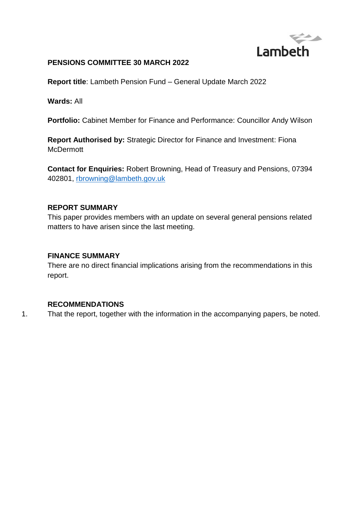

#### **PENSIONS COMMITTEE 30 MARCH 2022**

**Report title**: Lambeth Pension Fund – General Update March 2022

**Wards:** All

**Portfolio:** Cabinet Member for Finance and Performance: Councillor Andy Wilson

**Report Authorised by:** Strategic Director for Finance and Investment: Fiona **McDermott** 

**Contact for Enquiries:** Robert Browning, Head of Treasury and Pensions, 07394 402801, [rbrowning@lambeth.gov.uk](mailto:rbrowning@lambeth.gov.uk) 

#### **REPORT SUMMARY**

This paper provides members with an update on several general pensions related matters to have arisen since the last meeting.

#### **FINANCE SUMMARY**

There are no direct financial implications arising from the recommendations in this report.

#### **RECOMMENDATIONS**

1. That the report, together with the information in the accompanying papers, be noted.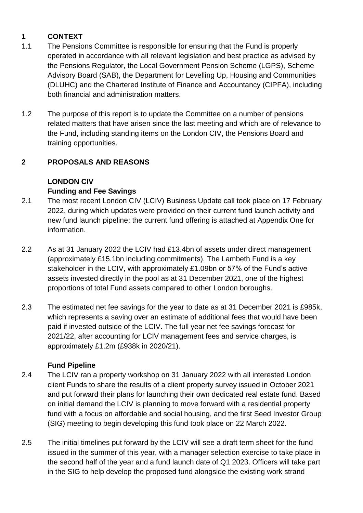# **1 CONTEXT**

- 1.1 The Pensions Committee is responsible for ensuring that the Fund is properly operated in accordance with all relevant legislation and best practice as advised by the Pensions Regulator, the Local Government Pension Scheme (LGPS), Scheme Advisory Board (SAB), the Department for Levelling Up, Housing and Communities (DLUHC) and the Chartered Institute of Finance and Accountancy (CIPFA), including both financial and administration matters.
- 1.2 The purpose of this report is to update the Committee on a number of pensions related matters that have arisen since the last meeting and which are of relevance to the Fund, including standing items on the London CIV, the Pensions Board and training opportunities.

## **2 PROPOSALS AND REASONS**

# **LONDON CIV Funding and Fee Savings**

- 2.1 The most recent London CIV (LCIV) Business Update call took place on 17 February 2022, during which updates were provided on their current fund launch activity and new fund launch pipeline; the current fund offering is attached at Appendix One for information.
- 2.2 As at 31 January 2022 the LCIV had £13.4bn of assets under direct management (approximately £15.1bn including commitments). The Lambeth Fund is a key stakeholder in the LCIV, with approximately £1.09bn or 57% of the Fund's active assets invested directly in the pool as at 31 December 2021, one of the highest proportions of total Fund assets compared to other London boroughs.
- 2.3 The estimated net fee savings for the year to date as at 31 December 2021 is £985k, which represents a saving over an estimate of additional fees that would have been paid if invested outside of the LCIV. The full year net fee savings forecast for 2021/22, after accounting for LCIV management fees and service charges, is approximately £1.2m (£938k in 2020/21).

## **Fund Pipeline**

- 2.4 The LCIV ran a property workshop on 31 January 2022 with all interested London client Funds to share the results of a client property survey issued in October 2021 and put forward their plans for launching their own dedicated real estate fund. Based on initial demand the LCIV is planning to move forward with a residential property fund with a focus on affordable and social housing, and the first Seed Investor Group (SIG) meeting to begin developing this fund took place on 22 March 2022.
- 2.5 The initial timelines put forward by the LCIV will see a draft term sheet for the fund issued in the summer of this year, with a manager selection exercise to take place in the second half of the year and a fund launch date of Q1 2023. Officers will take part in the SIG to help develop the proposed fund alongside the existing work strand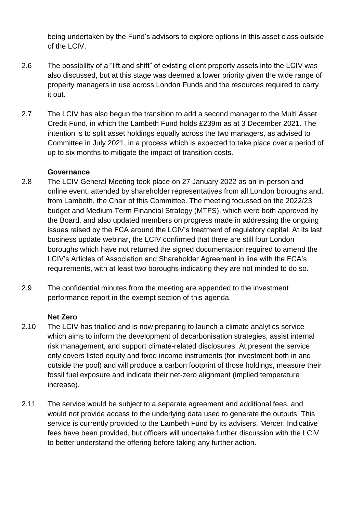being undertaken by the Fund's advisors to explore options in this asset class outside of the LCIV.

- 2.6 The possibility of a "lift and shift" of existing client property assets into the LCIV was also discussed, but at this stage was deemed a lower priority given the wide range of property managers in use across London Funds and the resources required to carry it out.
- 2.7 The LCIV has also begun the transition to add a second manager to the Multi Asset Credit Fund, in which the Lambeth Fund holds £239m as at 3 December 2021. The intention is to split asset holdings equally across the two managers, as advised to Committee in July 2021, in a process which is expected to take place over a period of up to six months to mitigate the impact of transition costs.

#### **Governance**

- 2.8 The LCIV General Meeting took place on 27 January 2022 as an in-person and online event, attended by shareholder representatives from all London boroughs and, from Lambeth, the Chair of this Committee. The meeting focussed on the 2022/23 budget and Medium-Term Financial Strategy (MTFS), which were both approved by the Board, and also updated members on progress made in addressing the ongoing issues raised by the FCA around the LCIV's treatment of regulatory capital. At its last business update webinar, the LCIV confirmed that there are still four London boroughs which have not returned the signed documentation required to amend the LCIV's Articles of Association and Shareholder Agreement in line with the FCA's requirements, with at least two boroughs indicating they are not minded to do so.
- 2.9 The confidential minutes from the meeting are appended to the investment performance report in the exempt section of this agenda.

#### **Net Zero**

- 2.10 The LCIV has trialled and is now preparing to launch a climate analytics service which aims to inform the development of decarbonisation strategies, assist internal risk management, and support climate-related disclosures. At present the service only covers listed equity and fixed income instruments (for investment both in and outside the pool) and will produce a carbon footprint of those holdings, measure their fossil fuel exposure and indicate their net-zero alignment (implied temperature increase).
- 2.11 The service would be subject to a separate agreement and additional fees, and would not provide access to the underlying data used to generate the outputs. This service is currently provided to the Lambeth Fund by its advisers, Mercer. Indicative fees have been provided, but officers will undertake further discussion with the LCIV to better understand the offering before taking any further action.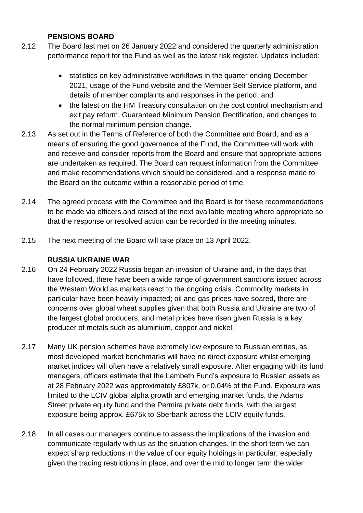#### **PENSIONS BOARD**

- 2.12 The Board last met on 26 January 2022 and considered the quarterly administration performance report for the Fund as well as the latest risk register. Updates included:
	- statistics on key administrative workflows in the quarter ending December 2021, usage of the Fund website and the Member Self Service platform, and details of member complaints and responses in the period; and
	- the latest on the HM Treasury consultation on the cost control mechanism and exit pay reform, Guaranteed Minimum Pension Rectification, and changes to the normal minimum pension change.
- 2.13 As set out in the Terms of Reference of both the Committee and Board, and as a means of ensuring the good governance of the Fund, the Committee will work with and receive and consider reports from the Board and ensure that appropriate actions are undertaken as required. The Board can request information from the Committee and make recommendations which should be considered, and a response made to the Board on the outcome within a reasonable period of time.
- 2.14 The agreed process with the Committee and the Board is for these recommendations to be made via officers and raised at the next available meeting where appropriate so that the response or resolved action can be recorded in the meeting minutes.
- 2.15 The next meeting of the Board will take place on 13 April 2022.

#### **RUSSIA UKRAINE WAR**

- 2.16 On 24 February 2022 Russia began an invasion of Ukraine and, in the days that have followed, there have been a wide range of government sanctions issued across the Western World as markets react to the ongoing crisis. Commodity markets in particular have been heavily impacted; oil and gas prices have soared, there are concerns over global wheat supplies given that both Russia and Ukraine are two of the largest global producers, and metal prices have risen given Russia is a key producer of metals such as aluminium, copper and nickel.
- 2.17 Many UK pension schemes have extremely low exposure to Russian entities, as most developed market benchmarks will have no direct exposure whilst emerging market indices will often have a relatively small exposure. After engaging with its fund managers, officers estimate that the Lambeth Fund's exposure to Russian assets as at 28 February 2022 was approximately £807k, or 0.04% of the Fund. Exposure was limited to the LCIV global alpha growth and emerging market funds, the Adams Street private equity fund and the Permira private debt funds, with the largest exposure being approx. £675k to Sberbank across the LCIV equity funds.
- 2.18 In all cases our managers continue to assess the implications of the invasion and communicate regularly with us as the situation changes. In the short term we can expect sharp reductions in the value of our equity holdings in particular, especially given the trading restrictions in place, and over the mid to longer term the wider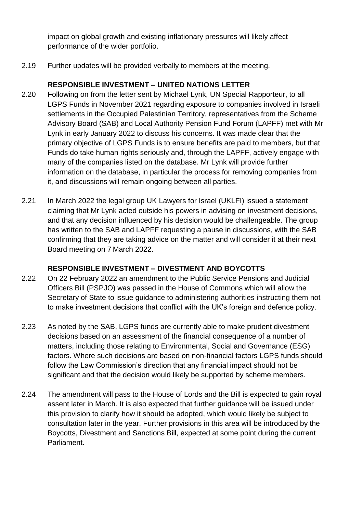impact on global growth and existing inflationary pressures will likely affect performance of the wider portfolio.

2.19 Further updates will be provided verbally to members at the meeting.

## **RESPONSIBLE INVESTMENT – UNITED NATIONS LETTER**

- 2.20 Following on from the letter sent by Michael Lynk, UN Special Rapporteur, to all LGPS Funds in November 2021 regarding exposure to companies involved in Israeli settlements in the Occupied Palestinian Territory, representatives from the Scheme Advisory Board (SAB) and Local Authority Pension Fund Forum (LAPFF) met with Mr Lynk in early January 2022 to discuss his concerns. It was made clear that the primary objective of LGPS Funds is to ensure benefits are paid to members, but that Funds do take human rights seriously and, through the LAPFF, actively engage with many of the companies listed on the database. Mr Lynk will provide further information on the database, in particular the process for removing companies from it, and discussions will remain ongoing between all parties.
- 2.21 In March 2022 the legal group UK Lawyers for Israel (UKLFI) issued a statement claiming that Mr Lynk acted outside his powers in advising on investment decisions, and that any decision influenced by his decision would be challengeable. The group has written to the SAB and LAPFF requesting a pause in discussions, with the SAB confirming that they are taking advice on the matter and will consider it at their next Board meeting on 7 March 2022.

## **RESPONSIBLE INVESTMENT – DIVESTMENT AND BOYCOTTS**

- 2.22 On 22 February 2022 an amendment to the Public Service Pensions and Judicial Officers Bill (PSPJO) was passed in the House of Commons which will allow the Secretary of State to issue guidance to administering authorities instructing them not to make investment decisions that conflict with the UK's foreign and defence policy.
- 2.23 As noted by the SAB, LGPS funds are currently able to make prudent divestment decisions based on an assessment of the financial consequence of a number of matters, including those relating to Environmental, Social and Governance (ESG) factors. Where such decisions are based on non-financial factors LGPS funds should follow the Law Commission's direction that any financial impact should not be significant and that the decision would likely be supported by scheme members.
- 2.24 The amendment will pass to the House of Lords and the Bill is expected to gain royal assent later in March. It is also expected that further guidance will be issued under this provision to clarify how it should be adopted, which would likely be subject to consultation later in the year. Further provisions in this area will be introduced by the Boycotts, Divestment and Sanctions Bill, expected at some point during the current Parliament.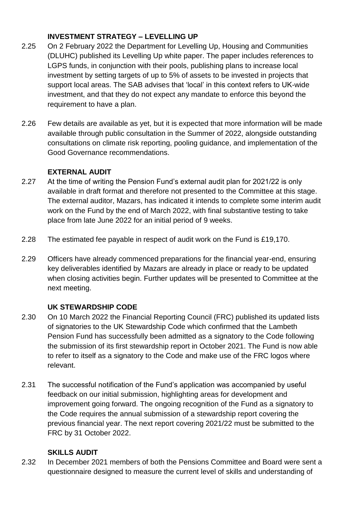## **INVESTMENT STRATEGY – LEVELLING UP**

- 2.25 On 2 February 2022 the Department for Levelling Up, Housing and Communities (DLUHC) published its Levelling Up white paper. The paper includes references to LGPS funds, in conjunction with their pools, publishing plans to increase local investment by setting targets of up to 5% of assets to be invested in projects that support local areas. The SAB advises that 'local' in this context refers to UK-wide investment, and that they do not expect any mandate to enforce this beyond the requirement to have a plan.
- 2.26 Few details are available as yet, but it is expected that more information will be made available through public consultation in the Summer of 2022, alongside outstanding consultations on climate risk reporting, pooling guidance, and implementation of the Good Governance recommendations.

## **EXTERNAL AUDIT**

- 2.27 At the time of writing the Pension Fund's external audit plan for 2021/22 is only available in draft format and therefore not presented to the Committee at this stage. The external auditor, Mazars, has indicated it intends to complete some interim audit work on the Fund by the end of March 2022, with final substantive testing to take place from late June 2022 for an initial period of 9 weeks.
- 2.28 The estimated fee payable in respect of audit work on the Fund is £19,170.
- 2.29 Officers have already commenced preparations for the financial year-end, ensuring key deliverables identified by Mazars are already in place or ready to be updated when closing activities begin. Further updates will be presented to Committee at the next meeting.

## **UK STEWARDSHIP CODE**

- 2.30 On 10 March 2022 the Financial Reporting Council (FRC) published its updated lists of signatories to the UK Stewardship Code which confirmed that the Lambeth Pension Fund has successfully been admitted as a signatory to the Code following the submission of its first stewardship report in October 2021. The Fund is now able to refer to itself as a signatory to the Code and make use of the FRC logos where relevant.
- 2.31 The successful notification of the Fund's application was accompanied by useful feedback on our initial submission, highlighting areas for development and improvement going forward. The ongoing recognition of the Fund as a signatory to the Code requires the annual submission of a stewardship report covering the previous financial year. The next report covering 2021/22 must be submitted to the FRC by 31 October 2022.

## **SKILLS AUDIT**

2.32 In December 2021 members of both the Pensions Committee and Board were sent a questionnaire designed to measure the current level of skills and understanding of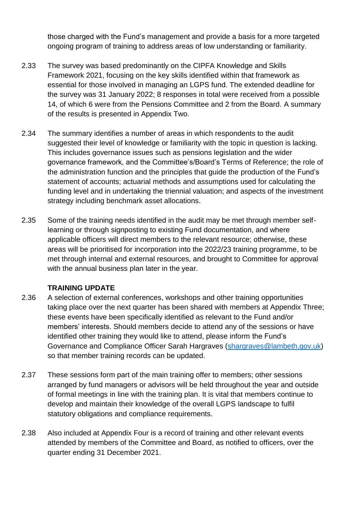those charged with the Fund's management and provide a basis for a more targeted ongoing program of training to address areas of low understanding or familiarity.

- 2.33 The survey was based predominantly on the CIPFA Knowledge and Skills Framework 2021, focusing on the key skills identified within that framework as essential for those involved in managing an LGPS fund. The extended deadline for the survey was 31 January 2022; 8 responses in total were received from a possible 14, of which 6 were from the Pensions Committee and 2 from the Board. A summary of the results is presented in Appendix Two.
- 2.34 The summary identifies a number of areas in which respondents to the audit suggested their level of knowledge or familiarity with the topic in question is lacking. This includes governance issues such as pensions legislation and the wider governance framework, and the Committee's/Board's Terms of Reference; the role of the administration function and the principles that guide the production of the Fund's statement of accounts; actuarial methods and assumptions used for calculating the funding level and in undertaking the triennial valuation; and aspects of the investment strategy including benchmark asset allocations.
- 2.35 Some of the training needs identified in the audit may be met through member selflearning or through signposting to existing Fund documentation, and where applicable officers will direct members to the relevant resource; otherwise, these areas will be prioritised for incorporation into the 2022/23 training programme, to be met through internal and external resources, and brought to Committee for approval with the annual business plan later in the year.

## **TRAINING UPDATE**

- 2.36 A selection of external conferences, workshops and other training opportunities taking place over the next quarter has been shared with members at Appendix Three; these events have been specifically identified as relevant to the Fund and/or members' interests. Should members decide to attend any of the sessions or have identified other training they would like to attend, please inform the Fund's Governance and Compliance Officer Sarah Hargraves [\(shargraves@lambeth.gov.uk\)](mailto:shargraves@lambeth.gov.uk) so that member training records can be updated.
- 2.37 These sessions form part of the main training offer to members; other sessions arranged by fund managers or advisors will be held throughout the year and outside of formal meetings in line with the training plan. It is vital that members continue to develop and maintain their knowledge of the overall LGPS landscape to fulfil statutory obligations and compliance requirements.
- 2.38 Also included at Appendix Four is a record of training and other relevant events attended by members of the Committee and Board, as notified to officers, over the quarter ending 31 December 2021.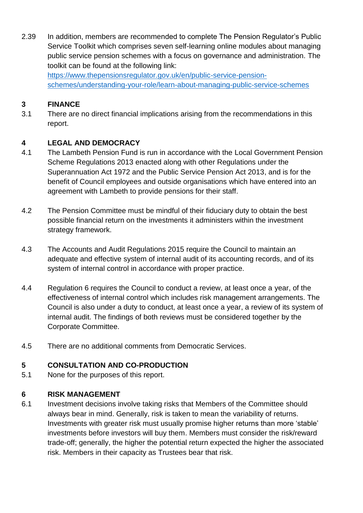2.39 In addition, members are recommended to complete The Pension Regulator's Public Service Toolkit which comprises seven self-learning online modules about managing public service pension schemes with a focus on governance and administration. The toolkit can be found at the following link: [https://www.thepensionsregulator.gov.uk/en/public-service-pension](https://www.thepensionsregulator.gov.uk/en/public-service-pension-schemes/understanding-your-role/learn-about-managing-public-service-schemes)[schemes/understanding-your-role/learn-about-managing-public-service-schemes](https://www.thepensionsregulator.gov.uk/en/public-service-pension-schemes/understanding-your-role/learn-about-managing-public-service-schemes) 

## **3 FINANCE**

3.1 There are no direct financial implications arising from the recommendations in this report.

## **4 LEGAL AND DEMOCRACY**

- 4.1 The Lambeth Pension Fund is run in accordance with the Local Government Pension Scheme Regulations 2013 enacted along with other Regulations under the Superannuation Act 1972 and the Public Service Pension Act 2013, and is for the benefit of Council employees and outside organisations which have entered into an agreement with Lambeth to provide pensions for their staff.
- 4.2 The Pension Committee must be mindful of their fiduciary duty to obtain the best possible financial return on the investments it administers within the investment strategy framework.
- 4.3 The Accounts and Audit Regulations 2015 require the Council to maintain an adequate and effective system of internal audit of its accounting records, and of its system of internal control in accordance with proper practice.
- 4.4 Regulation 6 requires the Council to conduct a review, at least once a year, of the effectiveness of internal control which includes risk management arrangements. The Council is also under a duty to conduct, at least once a year, a review of its system of internal audit. The findings of both reviews must be considered together by the Corporate Committee.
- 4.5 There are no additional comments from Democratic Services.

## **5 CONSULTATION AND CO-PRODUCTION**

5.1 None for the purposes of this report.

#### **6 RISK MANAGEMENT**

6.1 Investment decisions involve taking risks that Members of the Committee should always bear in mind. Generally, risk is taken to mean the variability of returns. Investments with greater risk must usually promise higher returns than more 'stable' investments before investors will buy them. Members must consider the risk/reward trade-off; generally, the higher the potential return expected the higher the associated risk. Members in their capacity as Trustees bear that risk.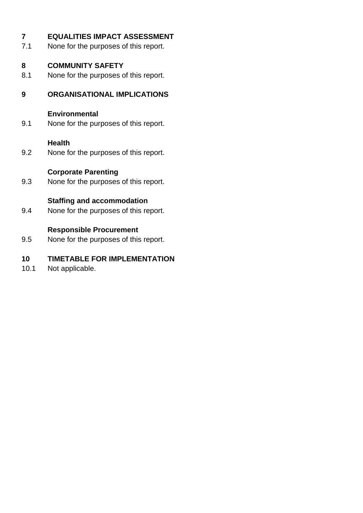| $\overline{7}$<br>7.1 | <b>EQUALITIES IMPACT ASSESSMENT</b><br>None for the purposes of this report. |
|-----------------------|------------------------------------------------------------------------------|
| 8<br>8.1              | <b>COMMUNITY SAFETY</b><br>None for the purposes of this report.             |
| 9                     | <b>ORGANISATIONAL IMPLICATIONS</b>                                           |
| 9.1                   | <b>Environmental</b><br>None for the purposes of this report.                |
| 9.2                   | <b>Health</b><br>None for the purposes of this report.                       |
| 9.3                   | <b>Corporate Parenting</b><br>None for the purposes of this report.          |
| 9.4                   | <b>Staffing and accommodation</b><br>None for the purposes of this report.   |
| 9.5                   | <b>Responsible Procurement</b><br>None for the purposes of this report.      |
| 10                    | <b>TIMETABLE FOR IMPLEMENTATION</b>                                          |

10.1 Not applicable.